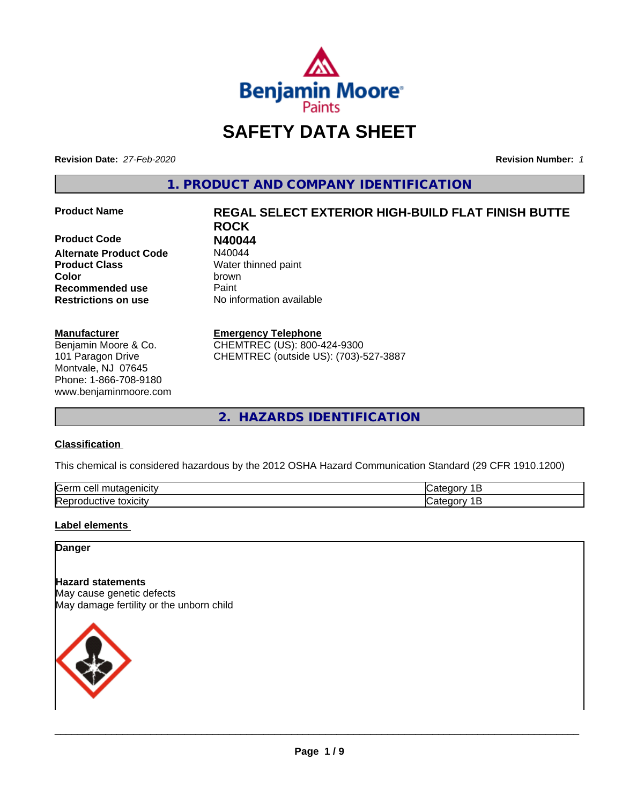

## **SAFETY DATA SHEET**

**Revision Date:** *27-Feb-2020* **Revision Number:** *1*

**1. PRODUCT AND COMPANY IDENTIFICATION**

**Product Code 61 1120044**<br>**Alternate Product Code** N40044 **Alternate Product Code Product Class** Water thinned paint **Color** brown **Recommended use Caint Restrictions on use** No information available

#### **Manufacturer**

Benjamin Moore & Co. 101 Paragon Drive Montvale, NJ 07645 Phone: 1-866-708-9180 www.benjaminmoore.com

# **Product Name REGAL SELECT EXTERIOR HIGH-BUILD FLAT FINISH BUTTE ROCK**

#### **Emergency Telephone**

CHEMTREC (US): 800-424-9300 CHEMTREC (outside US): (703)-527-3887

**2. HAZARDS IDENTIFICATION**

#### **Classification**

This chemical is considered hazardous by the 2012 OSHA Hazard Communication Standard (29 CFR 1910.1200)

| <b>Serr</b><br>---<br>$\cdot$          |  |
|----------------------------------------|--|
| <b>Re</b><br>*OXICItV<br>174<br>и<br>ш |  |

#### **Label elements**

#### **Danger**

**Hazard statements** May cause genetic defects May damage fertility or the unborn child

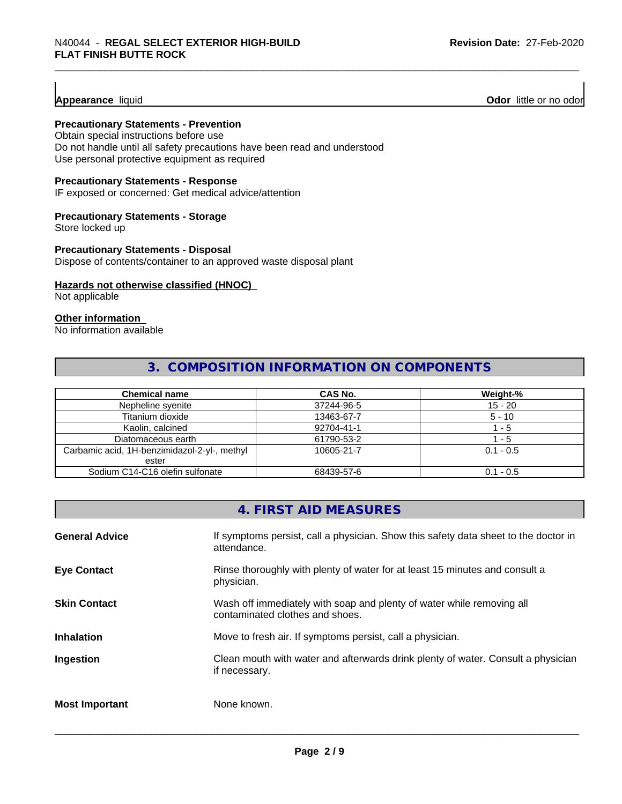#### **Appearance** liquid

**Odor** little or no odor

#### **Precautionary Statements - Prevention**

Obtain special instructions before use Do not handle until all safety precautions have been read and understood Use personal protective equipment as required

#### **Precautionary Statements - Response**

IF exposed or concerned: Get medical advice/attention

#### **Precautionary Statements - Storage**

Store locked up

#### **Precautionary Statements - Disposal**

Dispose of contents/container to an approved waste disposal plant

#### **Hazards not otherwise classified (HNOC)**

Not applicable

#### **Other information**

No information available

#### **3. COMPOSITION INFORMATION ON COMPONENTS**

| <b>Chemical name</b>                         | <b>CAS No.</b> | Weight-%    |
|----------------------------------------------|----------------|-------------|
| Nepheline syenite                            | 37244-96-5     | $15 - 20$   |
| Titanium dioxide                             | 13463-67-7     | $5 - 10$    |
| Kaolin, calcined                             | 92704-41-1     | $-5$        |
| Diatomaceous earth                           | 61790-53-2     | - 5         |
| Carbamic acid, 1H-benzimidazol-2-yl-, methyl | 10605-21-7     | $0.1 - 0.5$ |
| ester                                        |                |             |
| Sodium C14-C16 olefin sulfonate              | 68439-57-6     | $0.1 - 0.5$ |

#### **4. FIRST AID MEASURES**

| <b>General Advice</b> | If symptoms persist, call a physician. Show this safety data sheet to the doctor in<br>attendance.       |
|-----------------------|----------------------------------------------------------------------------------------------------------|
| <b>Eye Contact</b>    | Rinse thoroughly with plenty of water for at least 15 minutes and consult a<br>physician.                |
| <b>Skin Contact</b>   | Wash off immediately with soap and plenty of water while removing all<br>contaminated clothes and shoes. |
| <b>Inhalation</b>     | Move to fresh air. If symptoms persist, call a physician.                                                |
| Ingestion             | Clean mouth with water and afterwards drink plenty of water. Consult a physician<br>if necessary.        |
| <b>Most Important</b> | None known.                                                                                              |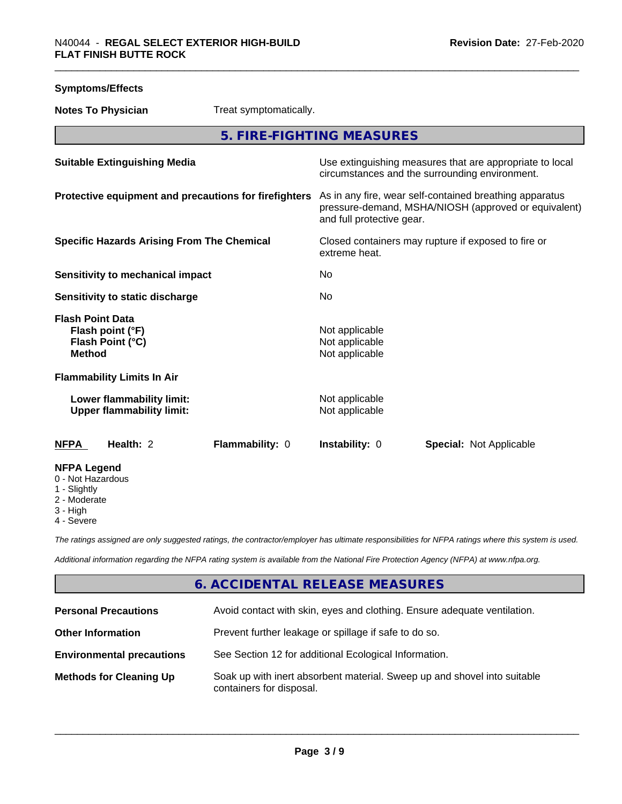| <b>Symptoms/Effects</b>                                                          |                                                               |                                                       |                                                                                                                                              |                                                                                                            |  |
|----------------------------------------------------------------------------------|---------------------------------------------------------------|-------------------------------------------------------|----------------------------------------------------------------------------------------------------------------------------------------------|------------------------------------------------------------------------------------------------------------|--|
| <b>Notes To Physician</b>                                                        |                                                               | Treat symptomatically.                                |                                                                                                                                              |                                                                                                            |  |
|                                                                                  |                                                               |                                                       | 5. FIRE-FIGHTING MEASURES                                                                                                                    |                                                                                                            |  |
| <b>Suitable Extinguishing Media</b>                                              |                                                               |                                                       |                                                                                                                                              | Use extinguishing measures that are appropriate to local<br>circumstances and the surrounding environment. |  |
|                                                                                  |                                                               | Protective equipment and precautions for firefighters | As in any fire, wear self-contained breathing apparatus<br>pressure-demand, MSHA/NIOSH (approved or equivalent)<br>and full protective gear. |                                                                                                            |  |
| <b>Specific Hazards Arising From The Chemical</b>                                |                                                               |                                                       | Closed containers may rupture if exposed to fire or<br>extreme heat.                                                                         |                                                                                                            |  |
| <b>Sensitivity to mechanical impact</b>                                          |                                                               |                                                       | No                                                                                                                                           |                                                                                                            |  |
| Sensitivity to static discharge                                                  |                                                               |                                                       | <b>No</b>                                                                                                                                    |                                                                                                            |  |
| <b>Flash Point Data</b><br>Flash point (°F)<br>Flash Point (°C)<br><b>Method</b> |                                                               |                                                       | Not applicable<br>Not applicable<br>Not applicable                                                                                           |                                                                                                            |  |
| <b>Flammability Limits In Air</b>                                                |                                                               |                                                       |                                                                                                                                              |                                                                                                            |  |
|                                                                                  | Lower flammability limit:<br><b>Upper flammability limit:</b> |                                                       | Not applicable<br>Not applicable                                                                                                             |                                                                                                            |  |
| <b>NFPA</b>                                                                      | Health: 2                                                     | Flammability: 0                                       | Instability: 0                                                                                                                               | <b>Special: Not Applicable</b>                                                                             |  |
| <b>NFPA Legend</b><br>0 - Not Hazardous<br>1 - Slightly<br>2 - Moderate          |                                                               |                                                       |                                                                                                                                              |                                                                                                            |  |

- 3 High
- 4 Severe

*The ratings assigned are only suggested ratings, the contractor/employer has ultimate responsibilities for NFPA ratings where this system is used.*

*Additional information regarding the NFPA rating system is available from the National Fire Protection Agency (NFPA) at www.nfpa.org.*

## **6. ACCIDENTAL RELEASE MEASURES**

| <b>Personal Precautions</b>      | Avoid contact with skin, eyes and clothing. Ensure adequate ventilation.                             |
|----------------------------------|------------------------------------------------------------------------------------------------------|
| <b>Other Information</b>         | Prevent further leakage or spillage if safe to do so.                                                |
| <b>Environmental precautions</b> | See Section 12 for additional Ecological Information.                                                |
| <b>Methods for Cleaning Up</b>   | Soak up with inert absorbent material. Sweep up and shovel into suitable<br>containers for disposal. |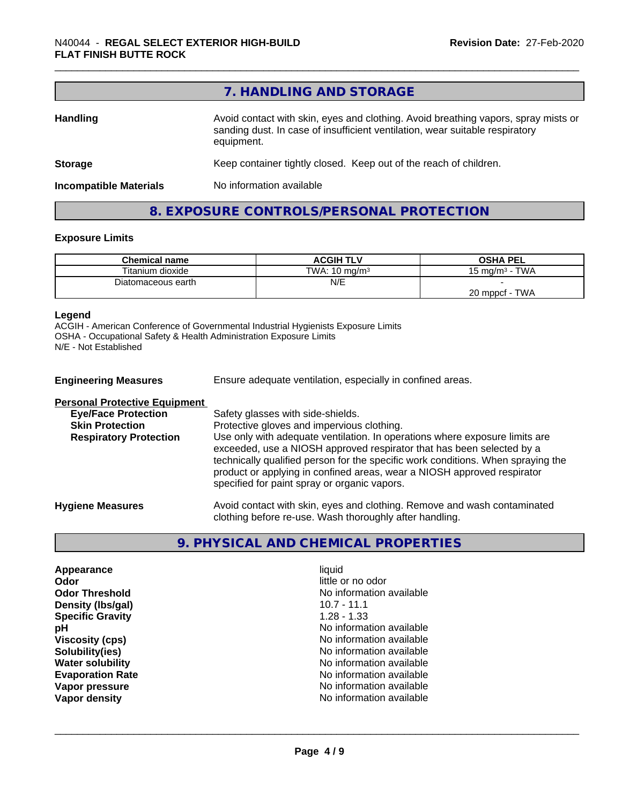|                               | 7. HANDLING AND STORAGE                                                                                                                                                          |
|-------------------------------|----------------------------------------------------------------------------------------------------------------------------------------------------------------------------------|
| Handling                      | Avoid contact with skin, eyes and clothing. Avoid breathing vapors, spray mists or<br>sanding dust. In case of insufficient ventilation, wear suitable respiratory<br>equipment. |
| <b>Storage</b>                | Keep container tightly closed. Keep out of the reach of children.                                                                                                                |
| <b>Incompatible Materials</b> | No information available                                                                                                                                                         |

#### **8. EXPOSURE CONTROLS/PERSONAL PROTECTION**

#### **Exposure Limits**

| <b>Chemical name</b> | <b>ACGIH TLV</b>         | <b>OSHA PEL</b>                 |
|----------------------|--------------------------|---------------------------------|
| Titanium dioxide     | TWA: $10 \text{ ma/m}^3$ | <b>TWA</b><br>15 mg/m $3 \cdot$ |
| Diatomaceous earth   | N/E                      |                                 |
|                      |                          | TWA<br>20 mppcf                 |

#### **Legend**

ACGIH - American Conference of Governmental Industrial Hygienists Exposure Limits OSHA - Occupational Safety & Health Administration Exposure Limits N/E - Not Established

| <b>Engineering Measures</b>          | Ensure adequate ventilation, especially in confined areas.                                                                                                                                                                                                                                                                                                          |
|--------------------------------------|---------------------------------------------------------------------------------------------------------------------------------------------------------------------------------------------------------------------------------------------------------------------------------------------------------------------------------------------------------------------|
| <b>Personal Protective Equipment</b> |                                                                                                                                                                                                                                                                                                                                                                     |
| <b>Eye/Face Protection</b>           | Safety glasses with side-shields.                                                                                                                                                                                                                                                                                                                                   |
| <b>Skin Protection</b>               | Protective gloves and impervious clothing.                                                                                                                                                                                                                                                                                                                          |
| <b>Respiratory Protection</b>        | Use only with adequate ventilation. In operations where exposure limits are<br>exceeded, use a NIOSH approved respirator that has been selected by a<br>technically qualified person for the specific work conditions. When spraying the<br>product or applying in confined areas, wear a NIOSH approved respirator<br>specified for paint spray or organic vapors. |
| <b>Hygiene Measures</b>              | Avoid contact with skin, eyes and clothing. Remove and wash contaminated<br>clothing before re-use. Wash thoroughly after handling.                                                                                                                                                                                                                                 |

## **9. PHYSICAL AND CHEMICAL PROPERTIES**

**Appearance** liquid **Odor** little or no odor **Density (Ibs/gal)** 10.7 - 11.1<br> **Specific Gravity** 1.28 - 1.33 **Specific Gravity** 

**Odor Threshold**<br> **Density (Ibs/gal)**<br> **Density (Ibs/gal)**<br> **No information available**<br>
10.7 - 11.1 **pH** No information available **Viscosity (cps)** No information available **Solubility(ies)** No information available **Water solubility Water solubility Water solubility Water solubility No information available Evaporation Rate No information available No information available Vapor pressure No information available Vapor density Vapor** density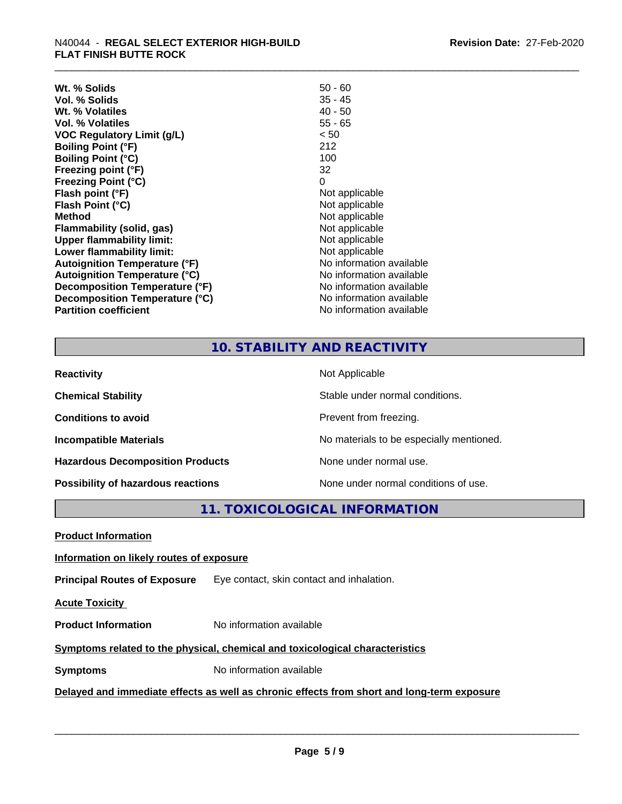| Wt. % Solids                         | $50 - 60$                |
|--------------------------------------|--------------------------|
| Vol. % Solids                        | $35 - 45$                |
| Wt. % Volatiles                      | $40 - 50$                |
| <b>Vol. % Volatiles</b>              | $55 - 65$                |
| VOC Regulatory Limit (g/L)           | < 50                     |
| <b>Boiling Point (°F)</b>            | 212                      |
| <b>Boiling Point (°C)</b>            | 100                      |
| Freezing point (°F)                  | 32                       |
| <b>Freezing Point (°C)</b>           | 0                        |
| Flash point (°F)                     | Not applicable           |
| Flash Point (°C)                     | Not applicable           |
| <b>Method</b>                        | Not applicable           |
| Flammability (solid, gas)            | Not applicable           |
| <b>Upper flammability limit:</b>     | Not applicable           |
| Lower flammability limit:            | Not applicable           |
| <b>Autoignition Temperature (°F)</b> | No information available |
| <b>Autoignition Temperature (°C)</b> | No information available |
| Decomposition Temperature (°F)       | No information available |
| Decomposition Temperature (°C)       | No information available |
| <b>Partition coefficient</b>         | No information available |

#### **10. STABILITY AND REACTIVITY**

| <b>Reactivity</b>                       | Not Applicable                           |
|-----------------------------------------|------------------------------------------|
| <b>Chemical Stability</b>               | Stable under normal conditions.          |
| <b>Conditions to avoid</b>              | Prevent from freezing.                   |
| <b>Incompatible Materials</b>           | No materials to be especially mentioned. |
| <b>Hazardous Decomposition Products</b> | None under normal use.                   |
| Possibility of hazardous reactions      | None under normal conditions of use.     |

**11. TOXICOLOGICAL INFORMATION**

**Product Information**

#### **Information on likely routes of exposure**

**Principal Routes of Exposure** Eye contact, skin contact and inhalation.

**Acute Toxicity** 

**Product Information** No information available

#### **Symptoms** related to the physical, chemical and toxicological characteristics

**Symptoms** No information available

**Delayed and immediate effects as well as chronic effects from short and long-term exposure**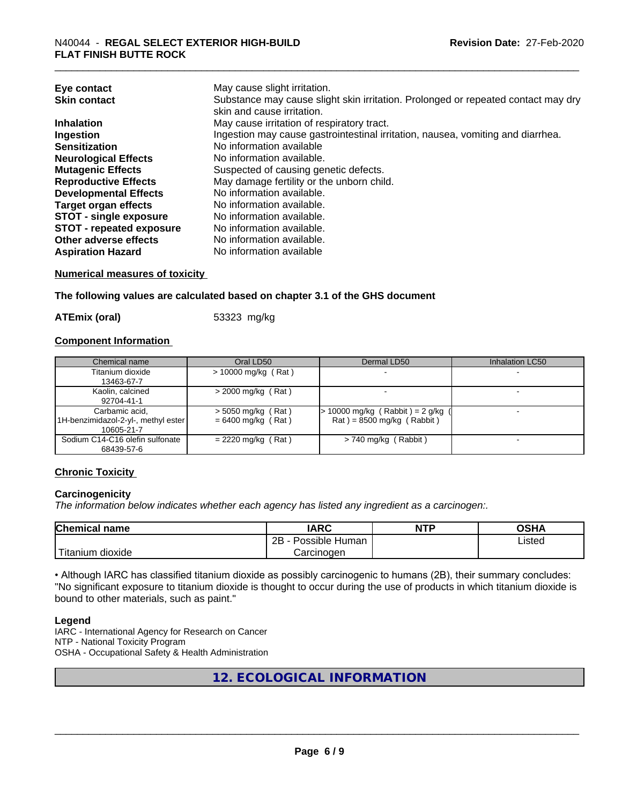| Eye contact                     | May cause slight irritation.                                                      |
|---------------------------------|-----------------------------------------------------------------------------------|
| <b>Skin contact</b>             | Substance may cause slight skin irritation. Prolonged or repeated contact may dry |
|                                 | skin and cause irritation.                                                        |
| <b>Inhalation</b>               | May cause irritation of respiratory tract.                                        |
| Ingestion                       | Ingestion may cause gastrointestinal irritation, nausea, vomiting and diarrhea.   |
| <b>Sensitization</b>            | No information available                                                          |
| <b>Neurological Effects</b>     | No information available.                                                         |
| <b>Mutagenic Effects</b>        | Suspected of causing genetic defects.                                             |
| <b>Reproductive Effects</b>     | May damage fertility or the unborn child.                                         |
| <b>Developmental Effects</b>    | No information available.                                                         |
| <b>Target organ effects</b>     | No information available.                                                         |
| <b>STOT - single exposure</b>   | No information available.                                                         |
| <b>STOT - repeated exposure</b> | No information available.                                                         |
| Other adverse effects           | No information available.                                                         |
| <b>Aspiration Hazard</b>        | No information available                                                          |

#### **Numerical measures of toxicity**

**The following values are calculated based on chapter 3.1 of the GHS document**

**ATEmix (oral)** 53323 mg/kg

#### **Component Information**

| Chemical name                       | Oral LD50             | Dermal LD50                         | Inhalation LC50 |
|-------------------------------------|-----------------------|-------------------------------------|-----------------|
| Titanium dioxide                    | $> 10000$ mg/kg (Rat) |                                     |                 |
| 13463-67-7                          |                       |                                     |                 |
| Kaolin, calcined                    | $>$ 2000 mg/kg (Rat)  |                                     |                 |
| 92704-41-1                          |                       |                                     |                 |
| Carbamic acid.                      | $>$ 5050 mg/kg (Rat)  | $> 10000$ mg/kg (Rabbit) = 2 g/kg ( |                 |
| 1H-benzimidazol-2-yl-, methyl ester | $= 6400$ mg/kg (Rat)  | $Rat$ = 8500 mg/kg (Rabbit)         |                 |
| 10605-21-7                          |                       |                                     |                 |
| Sodium C14-C16 olefin sulfonate     | $= 2220$ mg/kg (Rat)  | $> 740$ mg/kg (Rabbit)              |                 |
| 68439-57-6                          |                       |                                     |                 |

#### **Chronic Toxicity**

#### **Carcinogenicity**

*The information below indicateswhether each agency has listed any ingredient as a carcinogen:.*

| <b>Chemical</b><br>name            | <b>IARC</b>                                | <b>NTP</b> | ດເ⊔າ<br>∪אח |
|------------------------------------|--------------------------------------------|------------|-------------|
|                                    | .<br>クロ<br>Human<br>Possible<br><u>_ _</u> |            | ∟isted      |
| .<br><br>dioxide<br><b>itanium</b> | Carcinogen                                 |            |             |

• Although IARC has classified titanium dioxide as possibly carcinogenic to humans (2B), their summary concludes: "No significant exposure to titanium dioxide is thought to occur during the use of products in which titanium dioxide is bound to other materials, such as paint."

#### **Legend**

IARC - International Agency for Research on Cancer NTP - National Toxicity Program OSHA - Occupational Safety & Health Administration

**12. ECOLOGICAL INFORMATION**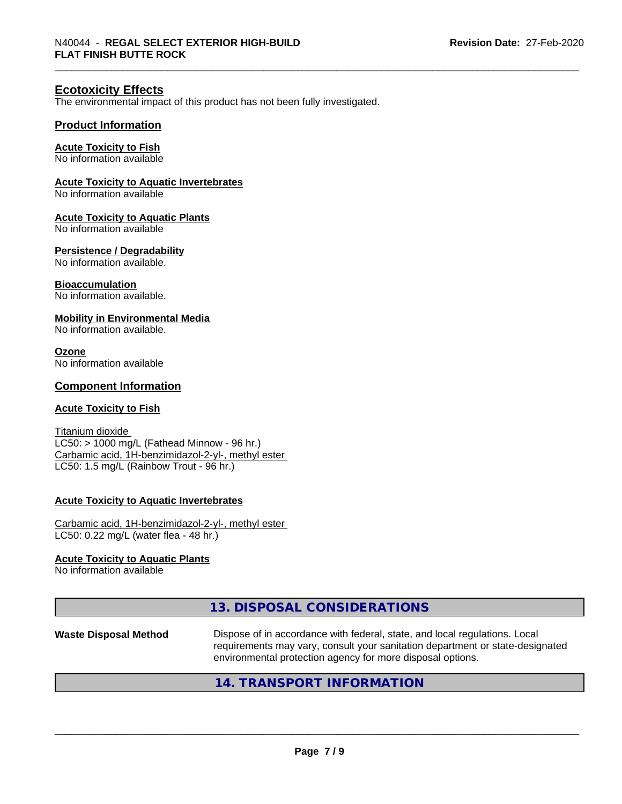#### **Ecotoxicity Effects**

The environmental impact of this product has not been fully investigated.

#### **Product Information**

#### **Acute Toxicity to Fish**

No information available

#### **Acute Toxicity to Aquatic Invertebrates**

No information available

#### **Acute Toxicity to Aquatic Plants**

No information available

#### **Persistence / Degradability**

No information available.

#### **Bioaccumulation**

No information available.

#### **Mobility in Environmental Media**

No information available.

#### **Ozone**

No information available

#### **Component Information**

#### **Acute Toxicity to Fish**

Titanium dioxide  $LC50:$  > 1000 mg/L (Fathead Minnow - 96 hr.) Carbamic acid, 1H-benzimidazol-2-yl-, methyl ester LC50: 1.5 mg/L (Rainbow Trout - 96 hr.)

#### **Acute Toxicity to Aquatic Invertebrates**

Carbamic acid, 1H-benzimidazol-2-yl-, methyl ester LC50: 0.22 mg/L (water flea - 48 hr.)

#### **Acute Toxicity to Aquatic Plants**

No information available

#### **13. DISPOSAL CONSIDERATIONS**

Waste Disposal Method **Dispose of in accordance with federal, state, and local regulations. Local** requirements may vary, consult your sanitation department or state-designated environmental protection agency for more disposal options.

 $\overline{\phantom{a}}$  ,  $\overline{\phantom{a}}$  ,  $\overline{\phantom{a}}$  ,  $\overline{\phantom{a}}$  ,  $\overline{\phantom{a}}$  ,  $\overline{\phantom{a}}$  ,  $\overline{\phantom{a}}$  ,  $\overline{\phantom{a}}$  ,  $\overline{\phantom{a}}$  ,  $\overline{\phantom{a}}$  ,  $\overline{\phantom{a}}$  ,  $\overline{\phantom{a}}$  ,  $\overline{\phantom{a}}$  ,  $\overline{\phantom{a}}$  ,  $\overline{\phantom{a}}$  ,  $\overline{\phantom{a}}$ 

#### **14. TRANSPORT INFORMATION**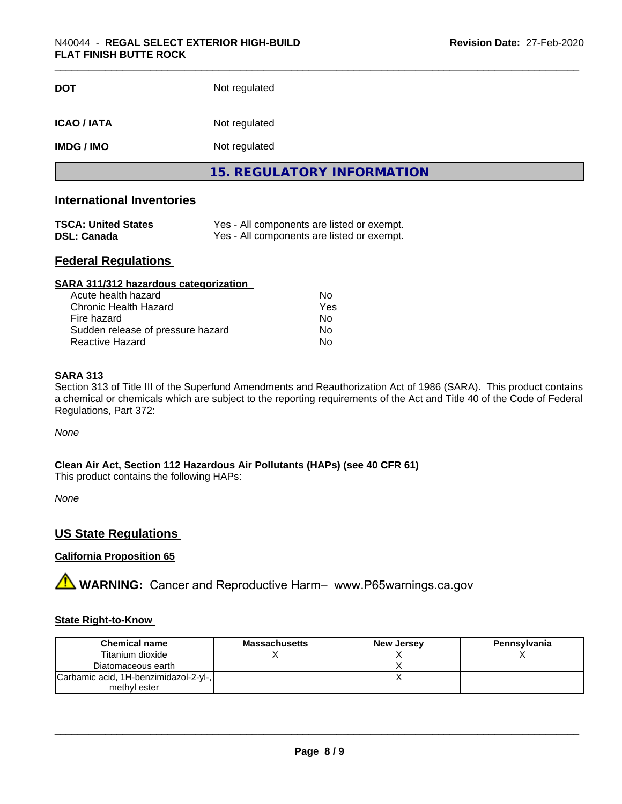| <b>DOT</b>         | Not regulated                     |  |
|--------------------|-----------------------------------|--|
| <b>ICAO / IATA</b> | Not regulated                     |  |
| <b>IMDG / IMO</b>  | Not regulated                     |  |
|                    | <b>15. REGULATORY INFORMATION</b> |  |

#### **International Inventories**

| <b>TSCA: United States</b> | Yes - All components are listed or exempt. |
|----------------------------|--------------------------------------------|
| <b>DSL: Canada</b>         | Yes - All components are listed or exempt. |

#### **Federal Regulations**

| SARA 311/312 hazardous categorization |     |  |
|---------------------------------------|-----|--|
| Acute health hazard                   | Nο  |  |
| Chronic Health Hazard                 | Yes |  |
| Fire hazard                           | Nο  |  |
| Sudden release of pressure hazard     | Nο  |  |
| Reactive Hazard                       | No  |  |

#### **SARA 313**

Section 313 of Title III of the Superfund Amendments and Reauthorization Act of 1986 (SARA). This product contains a chemical or chemicals which are subject to the reporting requirements of the Act and Title 40 of the Code of Federal Regulations, Part 372:

*None*

**Clean Air Act,Section 112 Hazardous Air Pollutants (HAPs) (see 40 CFR 61)**

This product contains the following HAPs:

*None*

#### **US State Regulations**

#### **California Proposition 65**

**A WARNING:** Cancer and Reproductive Harm– www.P65warnings.ca.gov

#### **State Right-to-Know**

| <b>Chemical name</b>                  | <b>Massachusetts</b> | <b>New Jersey</b> | Pennsylvania |
|---------------------------------------|----------------------|-------------------|--------------|
| Titanium dioxide                      |                      |                   |              |
| Diatomaceous earth                    |                      |                   |              |
| Carbamic acid, 1H-benzimidazol-2-yl-, |                      |                   |              |
| methyl ester                          |                      |                   |              |